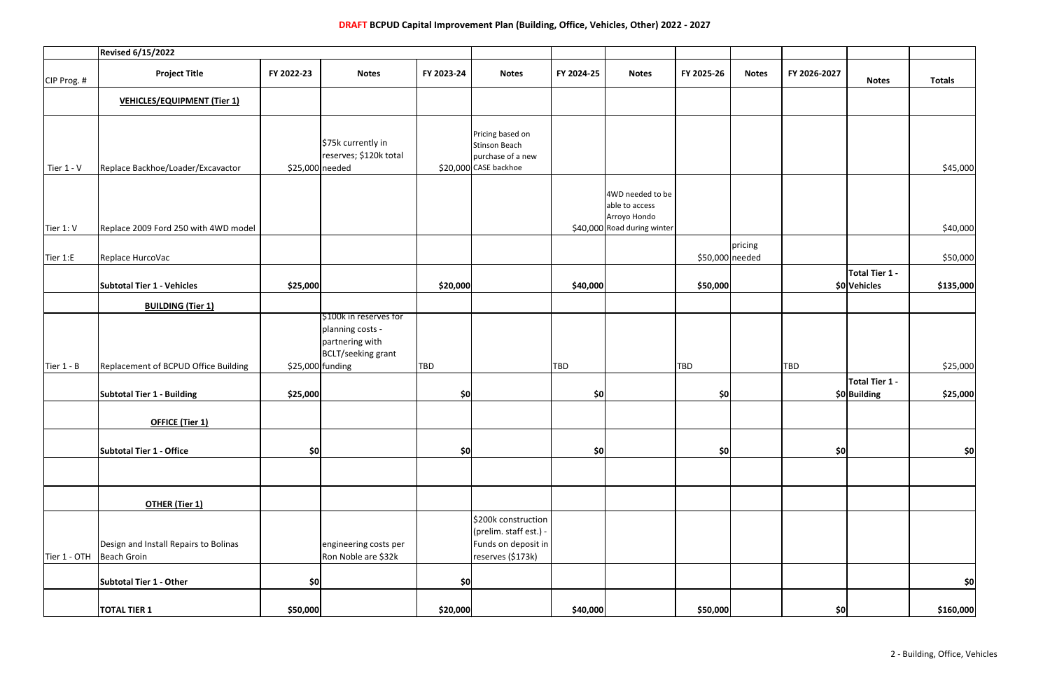|                          | <b>Revised 6/15/2022</b>                             |            |                                                                                     |            |                                                                                           |            |                                                    |                 |              |              |                                |               |
|--------------------------|------------------------------------------------------|------------|-------------------------------------------------------------------------------------|------------|-------------------------------------------------------------------------------------------|------------|----------------------------------------------------|-----------------|--------------|--------------|--------------------------------|---------------|
| CIP Prog. #              | <b>Project Title</b>                                 | FY 2022-23 | <b>Notes</b>                                                                        | FY 2023-24 | <b>Notes</b>                                                                              | FY 2024-25 | <b>Notes</b>                                       | FY 2025-26      | <b>Notes</b> | FY 2026-2027 | <b>Notes</b>                   | <b>Totals</b> |
|                          | <b>VEHICLES/EQUIPMENT (Tier 1)</b>                   |            |                                                                                     |            |                                                                                           |            |                                                    |                 |              |              |                                |               |
| Tier 1 - V               | Replace Backhoe/Loader/Excavactor                    |            | \$75k currently in<br>reserves; \$120k total<br>\$25,000 needed                     |            | Pricing based on<br><b>Stinson Beach</b><br>purchase of a new<br>\$20,000 CASE backhoe    |            |                                                    |                 |              |              |                                |               |
|                          |                                                      |            |                                                                                     |            |                                                                                           |            | 4WD needed to be<br>able to access<br>Arroyo Hondo |                 |              |              |                                | \$45,000      |
| Tier 1: V                | Replace 2009 Ford 250 with 4WD model                 |            |                                                                                     |            |                                                                                           |            | \$40,000 Road during winter                        |                 |              |              |                                | \$40,000      |
| Tier 1:E<br>Tier $1 - B$ | Replace HurcoVac                                     |            |                                                                                     |            |                                                                                           |            |                                                    | \$50,000 needed | pricing      |              |                                | \$50,000      |
|                          | <b>Subtotal Tier 1 - Vehicles</b>                    | \$25,000   |                                                                                     | \$20,000   |                                                                                           | \$40,000   |                                                    | \$50,000        |              |              | Total Tier 1 -<br>\$0 Vehicles | \$135,000     |
|                          | <b>BUILDING (Tier 1)</b>                             |            |                                                                                     |            |                                                                                           |            |                                                    |                 |              |              |                                |               |
|                          |                                                      |            | \$100k in reserves for<br>planning costs -<br>partnering with<br>BCLT/seeking grant |            |                                                                                           |            |                                                    |                 |              |              |                                |               |
|                          | Replacement of BCPUD Office Building                 |            | $$25,000$ funding                                                                   | <b>TBD</b> |                                                                                           | <b>TBD</b> |                                                    | TBD             |              | <b>TBD</b>   | Total Tier 1 -                 | \$25,000      |
|                          | <b>Subtotal Tier 1 - Building</b>                    | \$25,000   |                                                                                     | \$0∣       |                                                                                           | \$0        |                                                    | \$0             |              |              | \$0 Building                   | \$25,000      |
|                          | OFFICE (Tier 1)                                      |            |                                                                                     |            |                                                                                           |            |                                                    |                 |              |              |                                |               |
|                          | Subtotal Tier 1 - Office                             | \$0]       |                                                                                     | $ $ \$0    |                                                                                           | \$0        |                                                    | \$0             |              | \$0]         |                                | 50            |
|                          |                                                      |            |                                                                                     |            |                                                                                           |            |                                                    |                 |              |              |                                |               |
|                          | <b>OTHER (Tier 1)</b>                                |            |                                                                                     |            |                                                                                           |            |                                                    |                 |              |              |                                |               |
| Tier 1 - OTH             | Design and Install Repairs to Bolinas<br>Beach Groin |            | engineering costs per<br>Ron Noble are \$32k                                        |            | \$200k construction<br>(prelim. staff est.) -<br>Funds on deposit in<br>reserves (\$173k) |            |                                                    |                 |              |              |                                |               |
|                          | Subtotal Tier 1 - Other                              | 50         |                                                                                     | \$0        |                                                                                           |            |                                                    |                 |              |              |                                | 50            |
|                          | <b>TOTAL TIER 1</b>                                  | \$50,000   |                                                                                     | \$20,000   |                                                                                           | \$40,000   |                                                    | \$50,000        |              | \$0]         |                                | \$160,000     |